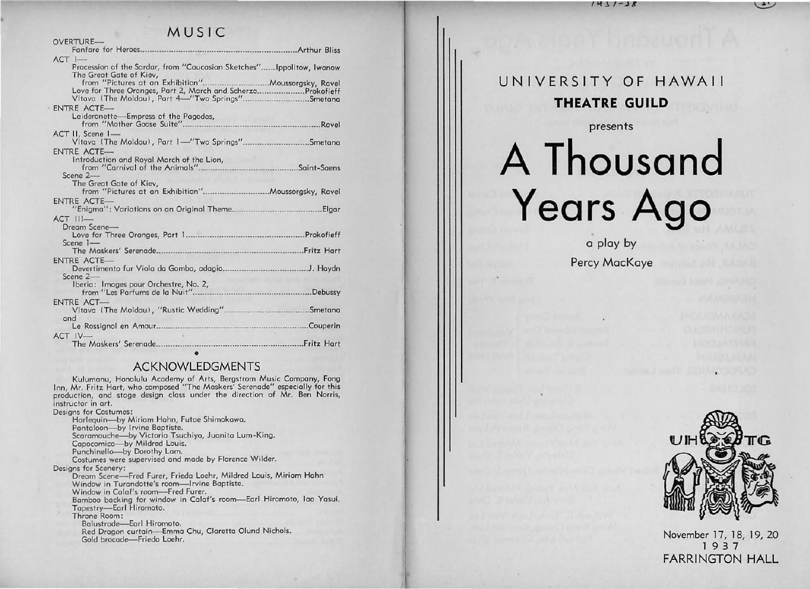$1431 - 38$ 

### MUSIC

| OVERTURE-                                                                                                       |                                          |
|-----------------------------------------------------------------------------------------------------------------|------------------------------------------|
| Fanfare for Heroes                                                                                              |                                          |
| $ACT$ $I-$                                                                                                      |                                          |
| Procession of the Sardar, from "Caucasian Sketches" Ippolitow, Iwanow<br>The Great Gate of Kiev,                |                                          |
| Love for Three Oranges, Part 2, March and ScherzoProkofieff<br>VItava (The Moldau), Part 4-"Two Springs"Smetana |                                          |
| ENTRE ACTE-                                                                                                     |                                          |
| Laideronette-Empress of the Pagodas,                                                                            |                                          |
| from "Mother Goose Suite"                                                                                       |                                          |
| ACT II, Scene 1-                                                                                                |                                          |
| VItava (The Moldau), Part 1-"Two Springs"Smetana                                                                |                                          |
| <b>ENTRE ACTE-</b>                                                                                              |                                          |
| Introduction and Royal March of the Lion,                                                                       |                                          |
|                                                                                                                 |                                          |
| Scene 2-                                                                                                        |                                          |
| The Great Gate of Kiev,                                                                                         |                                          |
| from "Pictures at an Exhibition".                                                                               |                                          |
| ENTRE ACTE-                                                                                                     | .Elgar                                   |
| $ACT$ $III -$                                                                                                   |                                          |
| Dream Scene-                                                                                                    |                                          |
|                                                                                                                 |                                          |
| Scene 1-                                                                                                        |                                          |
|                                                                                                                 |                                          |
| ENTRE ACTE-                                                                                                     |                                          |
|                                                                                                                 |                                          |
| Scene 2-                                                                                                        |                                          |
| Iberia: Images pour Orchestre, No. 2,<br>from "Les Parfums de la Nuit"                                          | <u>elektron memmer kan k</u><br>.Debussy |
|                                                                                                                 |                                          |
| ENTRE ACT-                                                                                                      |                                          |
|                                                                                                                 |                                          |
| and                                                                                                             |                                          |
|                                                                                                                 |                                          |
| ACT IV-                                                                                                         |                                          |
|                                                                                                                 |                                          |

#### **ACKNOWLEDGMENTS**

Kulumanu, Honolulu Academy of Arts, Bergstrom Music Company, Fong<br>Inn, Mr. Fritz Hart, who composed "The Maskers' Serenade" especially for this production, and stage design class under the direction of Mr. Ben Norris, instructor in art.

| esigns for Costumes:                                             |
|------------------------------------------------------------------|
| Harlequin-by Miriam Hahn, Futae Shimokawa.                       |
| Pantaloon-by Irvine Baptiste.                                    |
| Scaramouche-by Victoria Tsuchiya, Juanita Lum-King.              |
| Capocomico-by Mildred Louis.                                     |
| Punchinello-by Dorothy Lam.                                      |
| Costumes were supervised and made by Florence Wilder.            |
| esians for Scenery:                                              |
| Dream Scene-Fred Furer, Frieda Loehr, Mildred Louis, Miriam Hahn |
| Window in Turandotte's room-Irvine Baptiste.                     |
| Window in Calaf's room-Fred Furer.                               |
| Bamboo backing for window in Calaf's room-Earl Hiromoto, Iao Yas |
| Tapestry-Earl Hiromoto.                                          |
| Throne Room:                                                     |
| Balustrade-Earl Hiromoto.                                        |
| Red Dragon curtain-Emma Chu, Claretta Olund Nichols.             |
| Gold brocade-Frieda Loehr.                                       |
|                                                                  |
|                                                                  |

# UNIVERSITY OF HAWAII **THEATRE GUILD**

presents

# A Thousand Years Ago

a play by Percy MacKaye



November 17, 18, 19, 20 1937 **FARRINGTON HALL**